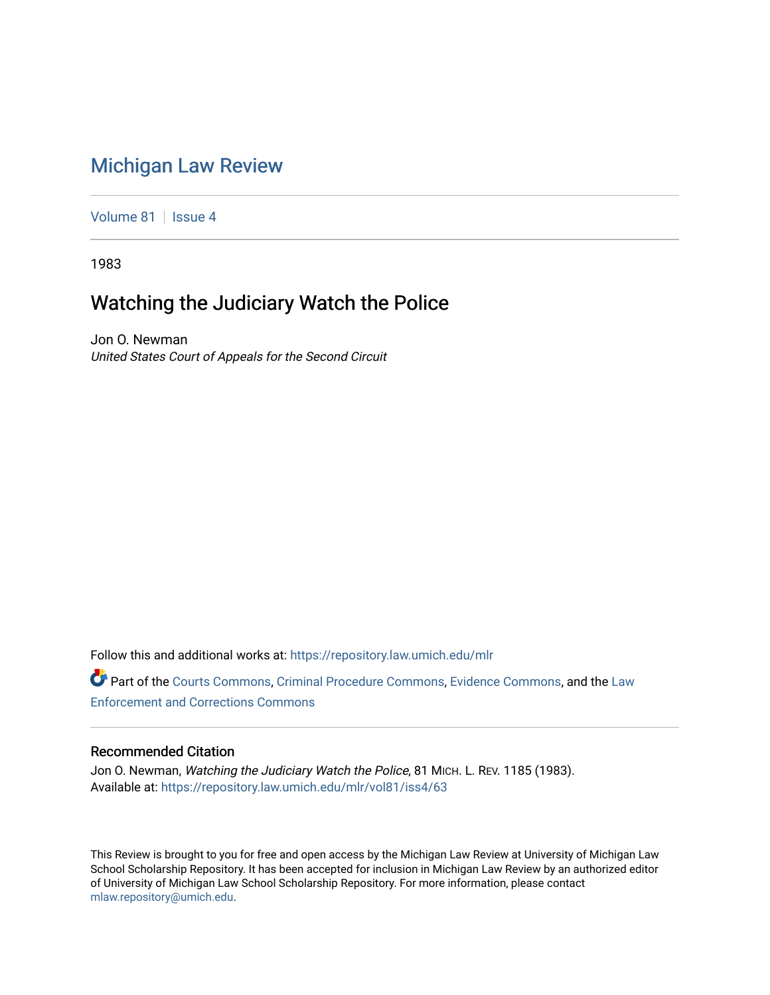## [Michigan Law Review](https://repository.law.umich.edu/mlr)

[Volume 81](https://repository.law.umich.edu/mlr/vol81) | [Issue 4](https://repository.law.umich.edu/mlr/vol81/iss4)

1983

# Watching the Judiciary Watch the Police

Jon O. Newman United States Court of Appeals for the Second Circuit

Follow this and additional works at: [https://repository.law.umich.edu/mlr](https://repository.law.umich.edu/mlr?utm_source=repository.law.umich.edu%2Fmlr%2Fvol81%2Fiss4%2F63&utm_medium=PDF&utm_campaign=PDFCoverPages) 

Part of the [Courts Commons,](http://network.bepress.com/hgg/discipline/839?utm_source=repository.law.umich.edu%2Fmlr%2Fvol81%2Fiss4%2F63&utm_medium=PDF&utm_campaign=PDFCoverPages) [Criminal Procedure Commons,](http://network.bepress.com/hgg/discipline/1073?utm_source=repository.law.umich.edu%2Fmlr%2Fvol81%2Fiss4%2F63&utm_medium=PDF&utm_campaign=PDFCoverPages) [Evidence Commons](http://network.bepress.com/hgg/discipline/601?utm_source=repository.law.umich.edu%2Fmlr%2Fvol81%2Fiss4%2F63&utm_medium=PDF&utm_campaign=PDFCoverPages), and the [Law](http://network.bepress.com/hgg/discipline/854?utm_source=repository.law.umich.edu%2Fmlr%2Fvol81%2Fiss4%2F63&utm_medium=PDF&utm_campaign=PDFCoverPages)  [Enforcement and Corrections Commons](http://network.bepress.com/hgg/discipline/854?utm_source=repository.law.umich.edu%2Fmlr%2Fvol81%2Fiss4%2F63&utm_medium=PDF&utm_campaign=PDFCoverPages) 

### Recommended Citation

Jon O. Newman, Watching the Judiciary Watch the Police, 81 MICH. L. REV. 1185 (1983). Available at: [https://repository.law.umich.edu/mlr/vol81/iss4/63](https://repository.law.umich.edu/mlr/vol81/iss4/63?utm_source=repository.law.umich.edu%2Fmlr%2Fvol81%2Fiss4%2F63&utm_medium=PDF&utm_campaign=PDFCoverPages) 

This Review is brought to you for free and open access by the Michigan Law Review at University of Michigan Law School Scholarship Repository. It has been accepted for inclusion in Michigan Law Review by an authorized editor of University of Michigan Law School Scholarship Repository. For more information, please contact [mlaw.repository@umich.edu.](mailto:mlaw.repository@umich.edu)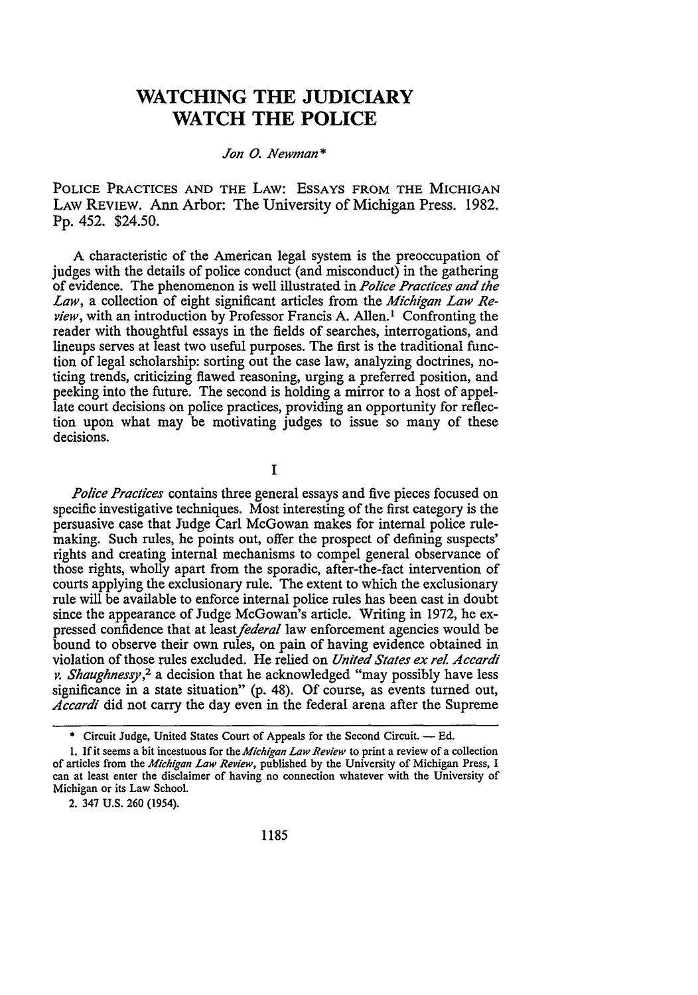### **WATCHING THE JUDICIARY WATCH THE POLICE**

#### *Jon 0. Newman\**

POLICE PRACTICES AND THE LAW: ESSAYS FROM THE MICHIGAN LAW REVIEW. Ann Arbor: The University of Michigan Press. 1982. Pp. 452. \$24.50.

A characteristic of the American legal system is the preoccupation of judges with the details of police conduct (and misconduct) in the gathering of evidence. The phenomenon is well illustrated in *Police Practices and the Law,* a collection of eight significant articles from the *Michigan Law Review*, with an introduction by Professor Francis A. Allen.<sup>1</sup> Confronting the reader with thoughtful essays in the fields of searches, interrogations, and lineups serves at least two useful purposes. The first is the traditional function of legal scholarship: sorting out the case law, analyzing doctrines, noticing trends, criticizing flawed reasoning, urging a preferred position, and peeking into the future. The second is holding a mirror to a host of appellate court decisions on police practices, providing an opportunity for reflection upon what may be motivating judges to issue so many of these decisions.

I

*Police Practices* contains three general essays and five pieces focused on specific investigative techniques. Most interesting of the first category is the persuasive case that Judge Carl McGowan makes for internal police rulemaking. Such rules, he points out, offer the prospect of defining suspects' rights and creating internal mechanisms to compel general observance of those rights, wholly apart from the sporadic, after-the-fact intervention of courts applying the exclusionary rule. The extent to which the exclusionary rule will be available to enforce internal police rules has been cast in doubt since the appearance of Judge McGowan's article. Writing in 1972, he expressed confidence that at *leastfederal* law enforcement agencies would be bound to observe their own rules, on pain of having evidence obtained in violation of those rules excluded. He relied on *United States ex rel Accardi v. Shaughnessy,2* a decision that he acknowledged "may possibly have less significance in a state situation" (p. 48). Of course, as events turned out, *Accardi* did not carry the day even in the federal arena after the Supreme

2. 347 **U.S.** 260 (1954).

<sup>•</sup> Circuit Judge, United States Court of Appeals for the Second Circuit. - Ed.

I. Ifit seems a bit incestuous for the *Michigan Law Review* to print a review of a collection of articles from the *Michigan Law Review,* published by the University of Michigan Press, I can at least enter the disclaimer of having no connection whatever with the University of Michigan or its Law School.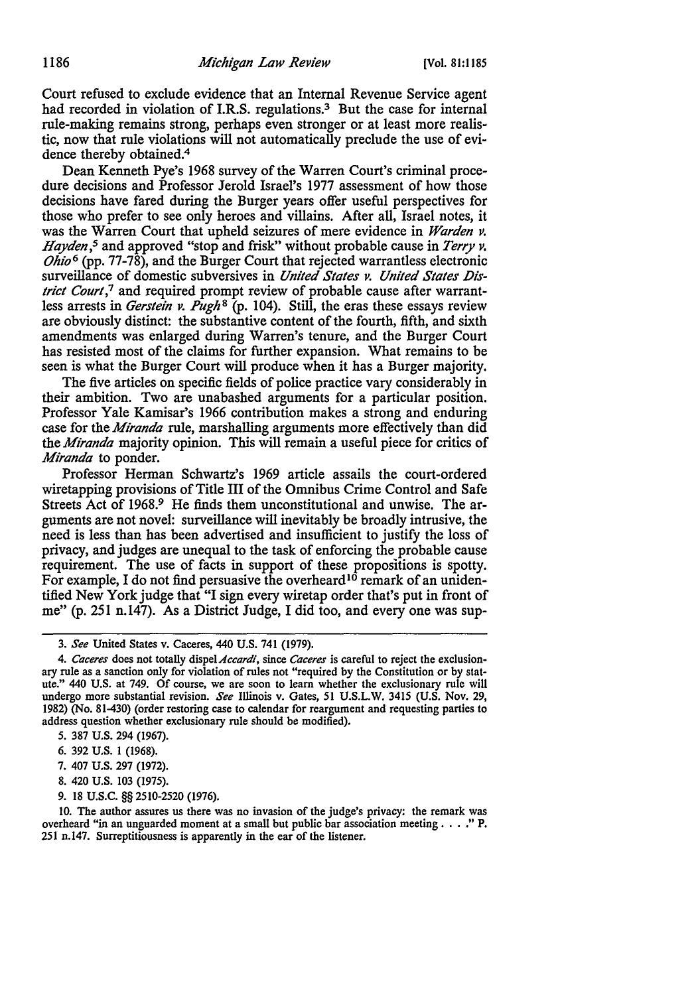Court refused to exclude evidence that an Internal Revenue Service agent had recorded in violation of **I.R.S.** regulations.3 But the case for internal rule-making remains strong, perhaps even stronger or at least more realistic, now that rule violations will not automatically preclude the use of evidence thereby obtained.<sup>4</sup>

Dean Kenneth Pye's 1968 survey of the Warren Court's criminal procedure decisions and Professor Jerold Israel's 1977 assessment of how those decisions have fared during the Burger years offer useful perspectives for those who prefer to see only heroes and villains. After all, Israel notes, it was the Warren Court that upheld seizures of mere evidence in *Warden v. Hayden,*<sup>5</sup>and approved "stop and frisk" without probable cause in *Terry v. Ohio6* (pp. 77-78), and the Burger Court that rejected warrantless electronic surveillance of domestic subversives in *United States v. United States Dis*trict Court,<sup>7</sup> and required prompt review of probable cause after warrantless arrests in *Gerstein v. Pugh*<sup>8</sup> (p. 104). Still, the eras these essays review are obviously distinct: the substantive content of the fourth, fifth, and sixth amendments was enlarged during Warren's tenure, and the Burger Court has resisted most of the claims for further expansion. What remains to be seen is what the Burger Court will produce when it has a Burger majority.

The five articles on specific fields of police practice vary considerably in their ambition. Two are unabashed arguments for a particular position. Professor Yale Kamisar's 1966 contribution makes a strong and enduring case for the *Miranda* rule, marshalling arguments more effectively than did the *Miranda* majority opinion. This will remain a useful piece for critics of *Miranda* to ponder.

Professor Herman Schwartz's 1969 article assails the court-ordered wiretapping provisions of Title III of the Omnibus Crime Control and Safe Streets Act of 1968.<sup>9</sup> He finds them unconstitutional and unwise. The arguments are not novel: surveillance will inevitably be broadly intrusive, the need is less than has been advertised and insufficient to justify the loss of privacy, and judges are unequal to the task of enforcing the probable cause requirement. The use of facts in support of these propositions is spotty. For example, I do not find persuasive the overheard<sup>10</sup> remark of an unidentified New York judge that "I sign every wiretap order that's put in front of me" (p. 251 n.147). As a District Judge, I did too, and every one was sup-

9. 18 u.s.c. §§ 2510-2520 (1976).

IO. The author assures us there was no invasion of the judge's privacy: the remark was overheard "in an unguarded moment at a small but public bar association meeting .... " P. 251 n.147. Surreptitiousness is apparently in the ear of the listener.

<sup>3.</sup> *See* United States v. Caceres, 440 U.S. 741 (1979).

<sup>4.</sup> *Caceres* does not totally *dispe1Accardi,* since *Caceres* is careful to reject the exclusionary rule as a sanction only for violation of rules not "required by the Constitution or by statute." 440 U.S. at 749. Of course, we are soon to learn whether the exclusionary rule will undergo more substantial revision. *See* Illinois v. Gates, 51 U.S.L.W. 3415 (U.S. Nov. 29, 1982) (No. 81-430) (order restoring case to calendar for reargument and requesting parties to address question whether exclusionary rule should be modified).

<sup>5. 387</sup> U.S. 294 (1967).

<sup>6. 392</sup> U.S. l (1968).

<sup>7. 407</sup> U.S. 297 (1972).

<sup>8. 420</sup> U.S. 103 (1975).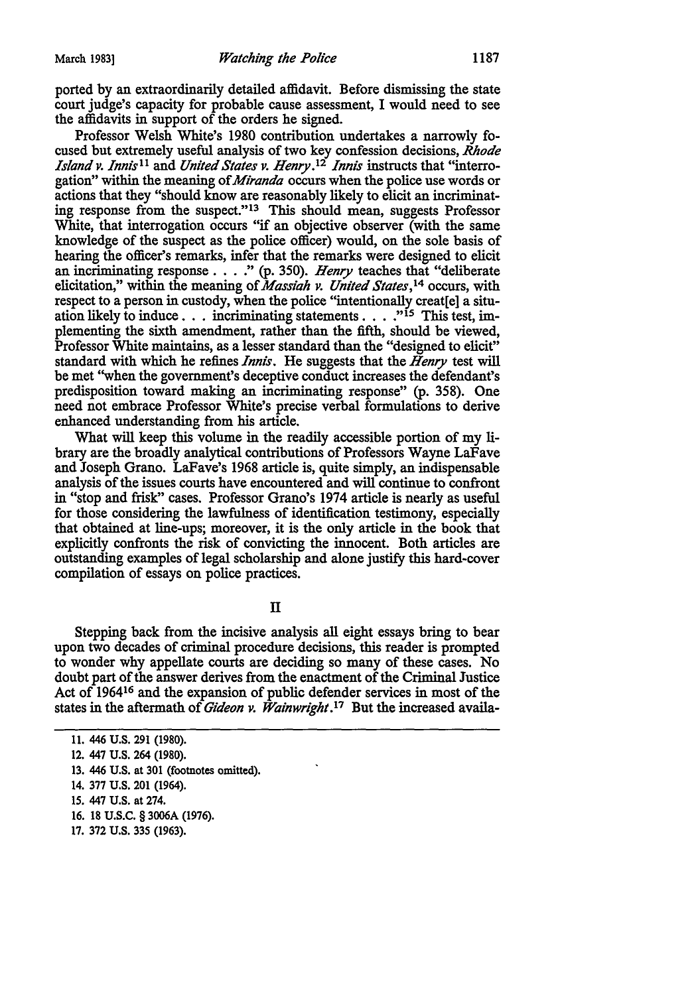ported by an extraordinarily detailed affidavit. Before dismissing the state court judge's capacity for probable cause assessment, I would need to see the affidavits in support of the orders he signed.

Professor Welsh White's 1980 contribution undertakes a narrowly focused but extremely useful analysis of two key confession decisions, *Rhode Island v. Innis* 11 and *United States v. Henry* .12 *Innis* instructs that "interrogation" within the meaning of *Miranda* occurs when the police use words or actions that they "should know are reasonably likely to elicit an incriminating response from the suspect."13 This should mean, suggests Professor White, that interrogation occurs "if an objective observer (with the same knowledge of the suspect as the police officer) would, on the sole basis of hearing the officer's remarks, infer that the remarks were designed to elicit an incriminating response .... " (p. 350). *Henry* teaches that "deliberate elicitation," within the meaning of *Massiah v. United States,*<sup>14</sup>occurs, with respect to a person in custody, when the police "intentionally creat[e] a situation likely to induce . . . incriminating statements . . . . "<sup>15</sup> This test, implementing the sixth amendment, rather than the fifth, should be viewed, Professor White maintains, as a lesser standard than the "designed to elicit" standard with which he refines *Innis.* He suggests that the *Henry* test will be met ''when the government's deceptive conduct increases the defendant's predisposition toward making an incriminating response" (p. 358). One need not embrace Professor White's precise verbal formulations to derive enhanced understanding from his article.

What will keep this volume in the readily accessible portion of my library are the broadly analytical contributions of Professors Wayne LaFave and Joseph Grano. LaFave's 1968 article is, quite simply, an indispensable analysis of the issues courts have encountered and will continue to confront in "stop and frisk" cases. Professor Grano's 1974 article is nearly as useful for those considering the lawfulness of identification testimony, especially that obtained at line-ups; moreover, it is the only article in the book that explicitly confronts the risk of convicting the innocent. Both articles are outstanding examples of legal scholarship and alone justify this hard-cover compilation of essays on police practices.

 $\mathbf I$ 

Stepping back from the incisive analysis all eight essays bring to bear upon two decades of criminal procedure decisions, this reader is prompted to wonder why appellate courts are deciding so many of these cases. No doubt part of the answer derives from the enactment of the Criminal Justice Act of 196416 and the expansion of public defender services in most of the states in the aftermath of *Gideon v. Wainwright* . 17 But the increased availa-

17. 372 U.S. 335 (1963).

<sup>11. 446</sup> U.S. 291 (1980).

<sup>12. 447</sup> U.S. 264 (1980).

<sup>13. 446</sup> U.S. at 301 (footnotes omitted).

<sup>14. 377</sup> U.S. 201 (1964).

<sup>15. 447</sup> U.S. at 274.

<sup>16. 18</sup> U.S.C. § 3006A (1976).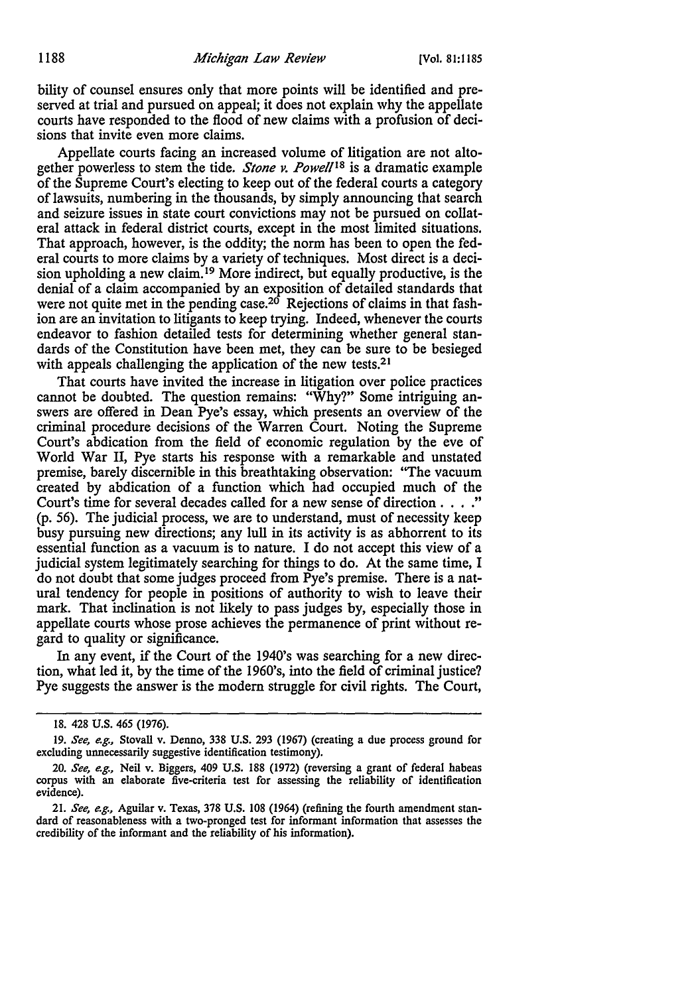bility of counsel ensures only that more points will be identified and preserved at trial and pursued on appeal; it does not explain why the appellate courts have responded to the flood of new claims with a profusion of decisions that invite even more claims.

Appellate courts facing an increased volume of litigation are not altogether powerless to stem the tide. *Stone v. Powel/*<sup>18</sup>is a dramatic example of the Supreme Court's electing to keep out of the federal courts a category of lawsuits, numbering in the thousands, by simply announcing that search and seizure issues in state court convictions may not be pursued on collateral attack in federal district courts, except in the most limited situations. That approach, however, is the oddity; the norm has been to open the federal courts to more claims by a variety of techniques. Most direct is a decision upholding a new claim. 19 More indirect, but equally productive, is the denial of a claim accompanied by an exposition of detailed standards that were not quite met in the pending case.<sup>20</sup> Rejections of claims in that fashion are an invitation to litigants to keep trying. Indeed, whenever the courts endeavor to fashion detailed tests for determining whether general standards of the Constitution have been met, they can be sure to be besieged with appeals challenging the application of the new tests.<sup>21</sup>

That courts have invited the increase in litigation over police practices cannot be doubted. The question remains: "Why?" Some intriguing answers are offered in Dean Pye's essay, which presents an overview of the criminal procedure decisions of the Warren Court. Noting the Supreme Court's abdication from the field of economic regulation by the eve of World War II, Pye starts his response with a remarkable and unstated premise, barely discernible in this breathtaking observation: ''The vacuum created by abdication of a function which had occupied much of the Court's time for several decades called for a new sense of direction . . .. " (p. 56). The judicial process, we are to understand, must of necessity keep busy pursuing new directions; any lull in its activity is as abhorrent to its essential function as a vacuum is to nature. I do not accept this view of a judicial system legitimately searching for things to do. At the same time, I do not doubt that some judges proceed from Pye's premise. There is a natural tendency for people in positions of authority to wish to leave their mark. That inclination is not likely to pass judges by, especially those in appellate courts whose prose achieves the permanence of print without regard to quality or significance.

In any event, if the Court of the 1940's was searching for a new direction, what led it, by the time of the 1960's, into the field of criminal justice? Pye suggests the answer is the modem struggle for civil rights. The Court,

<sup>18. 428</sup> U.S. 465 (1976).

<sup>19.</sup> *See, e.g.,* Stovall v. Denno, 338 U.S. 293 (1967) (creating a due process ground for excluding unnecessarily suggestive identification testimony).

<sup>20.</sup> *See, e.g.,* Neil v. Biggers, 409 U.S. 188 (1972) (reversing a grant of federal habeas corpus with an elaborate five-criteria test for assessing the reliability of identification evidence).

<sup>21.</sup> *See, e.g.,* Aguilar v. Texas, 378 U.S. 108 (1964) (refining the fourth amendment standard of reasonableness with a two-pronged test for informant information that assesses the credibility of the informant and the reliability of his information).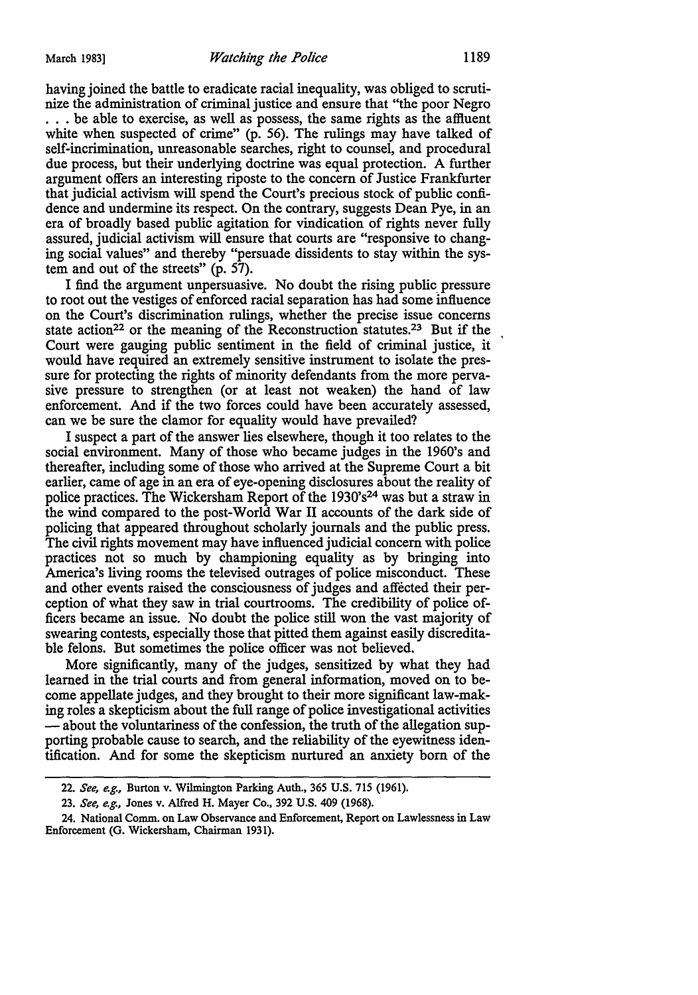having joined the battle to eradicate racial inequality, was obliged to scrutinize the administration of criminal justice and ensure that "the poor Negro . . . be able to exercise, as well as possess, the same rights as the affluent white when suspected of crime" (p. 56). The rulings may have talked of self-incrimination, unreasonable searches, right to counsel, and procedural due process, but their underlying doctrine was equal protection. A further argument offers an interesting riposte to the concern of Justice Frankfurter that judicial activism will spend the Court's precious stock of public confidence and undermine its respect. On the contrary, suggests Dean Pye, in an era of broadly based public agitation for vindication of rights never fully assured, judicial activism will ensure that courts are "responsive to changing social values" and thereby "persuade dissidents to stay within the system and out of the streets" (p. 57).

I find the argument unpersuasive. No doubt the rising public pressure to root out the vestiges of enforced racial separation has had some influence on the Court's discrimination rulings, whether the precise issue concerns state action<sup>22</sup> or the meaning of the Reconstruction statutes.<sup>23</sup> But if the Court were gauging public sentiment in the field of criminal justice, it would have required an extremely sensitive instrument to isolate the pressure for protecting the rights of minority defendants from the more pervasive pressure to strengthen (or at least not weaken) the hand of law enforcement. And if the two forces could have been accurately assessed, can we be sure the clamor for equality would have prevailed?

I suspect a part of the answer lies elsewhere, though it too relates to the social environment. Many of those who became judges in the 1960's and thereafter, including some of those who arrived at the Supreme Court a bit earlier, came of age in an era of eye-opening disclosures about the reality of police practices. The Wickersham Report of the 1930's<sup>24</sup> was but a straw in the wind compared to the post-World War II accounts of the dark side of policing that appeared throughout scholarly journals and the public press. The civil rights movement may have influenced judicial concern with police practices not so much by championing equality as by bringing into America's living rooms the televised outrages of police misconduct. These and other events raised the consciousness of judges and affected their perception of what they saw in trial courtrooms. The credibility of police officers became an issue. No doubt the police still won the vast majority of swearing contests, especially those that pitted them against easily discreditable felons. But sometimes the police officer was not believed.

More significantly, many of the judges, sensitized by what they had learned in the trial courts and from general information, moved on to become appellate judges, and they brought to their more significant law-making roles a skepticism about the full range of police investigational activities - about the voluntariness of the confession, the truth of the allegation supporting probable cause to search, and the reliability of the eyewitness identification. And for some the skepticism nurtured an anxiety born of the

<sup>22.</sup> *See, e.g.,* Burton v. Wilmington Parking Auth., 365 U.S. 715 (1961).

<sup>23.</sup> *See, e.g.,* Jones v. Alfred H. Mayer Co., 392 U.S. 409 (1968).

<sup>24.</sup> National Comm. on Law Observance and Enforcement, Report on Lawlessness in Law Enforcement (G. Wickersham, Chairman 1931).